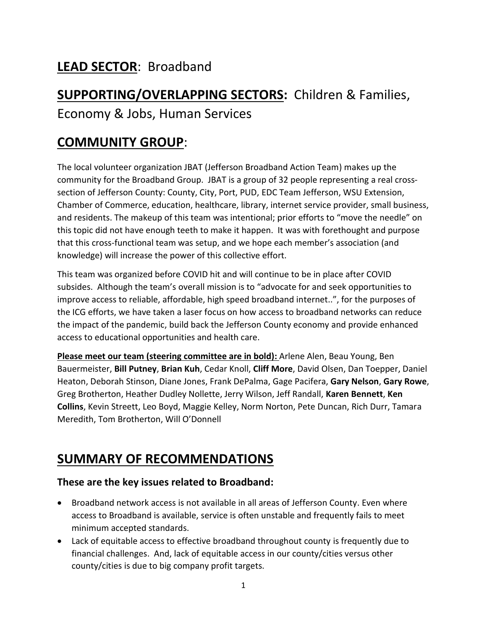# **LEAD SECTOR**: Broadband

# **SUPPORTING/OVERLAPPING SECTORS:** Children & Families, Economy & Jobs, Human Services

# **COMMUNITY GROUP**:

The local volunteer organization JBAT (Jefferson Broadband Action Team) makes up the community for the Broadband Group. JBAT is a group of 32 people representing a real crosssection of Jefferson County: County, City, Port, PUD, EDC Team Jefferson, WSU Extension, Chamber of Commerce, education, healthcare, library, internet service provider, small business, and residents. The makeup of this team was intentional; prior efforts to "move the needle" on this topic did not have enough teeth to make it happen. It was with forethought and purpose that this cross-functional team was setup, and we hope each member's association (and knowledge) will increase the power of this collective effort.

This team was organized before COVID hit and will continue to be in place after COVID subsides. Although the team's overall mission is to "advocate for and seek opportunities to improve access to reliable, affordable, high speed broadband internet..", for the purposes of the ICG efforts, we have taken a laser focus on how access to broadband networks can reduce the impact of the pandemic, build back the Jefferson County economy and provide enhanced access to educational opportunities and health care.

**Please meet our team (steering committee are in bold):** Arlene Alen, Beau Young, Ben Bauermeister, **Bill Putney**, **Brian Kuh**, Cedar Knoll, **Cliff More**, David Olsen, Dan Toepper, Daniel Heaton, Deborah Stinson, Diane Jones, Frank DePalma, Gage Pacifera, **Gary Nelson**, **Gary Rowe**, Greg Brotherton, Heather Dudley Nollette, Jerry Wilson, Jeff Randall, **Karen Bennett**, **Ken Collins**, Kevin Streett, Leo Boyd, Maggie Kelley, Norm Norton, Pete Duncan, Rich Durr, Tamara Meredith, Tom Brotherton, Will O'Donnell

## **SUMMARY OF RECOMMENDATIONS**

### **These are the key issues related to Broadband:**

- Broadband network access is not available in all areas of Jefferson County. Even where access to Broadband is available, service is often unstable and frequently fails to meet minimum accepted standards.
- Lack of equitable access to effective broadband throughout county is frequently due to financial challenges. And, lack of equitable access in our county/cities versus other county/cities is due to big company profit targets.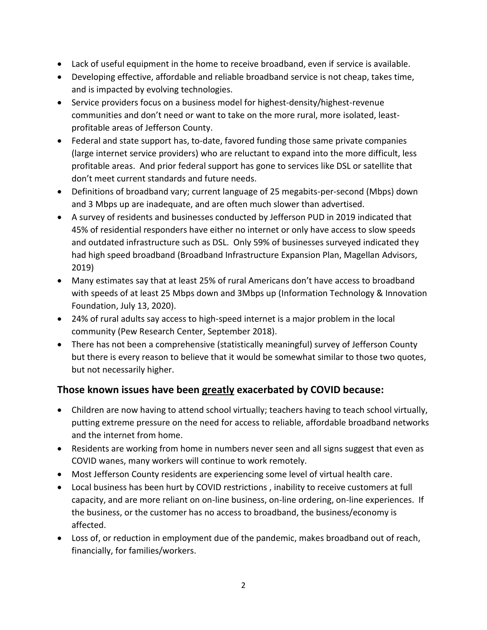- Lack of useful equipment in the home to receive broadband, even if service is available.
- Developing effective, affordable and reliable broadband service is not cheap, takes time, and is impacted by evolving technologies.
- Service providers focus on a business model for highest-density/highest-revenue communities and don't need or want to take on the more rural, more isolated, leastprofitable areas of Jefferson County.
- Federal and state support has, to-date, favored funding those same private companies (large internet service providers) who are reluctant to expand into the more difficult, less profitable areas. And prior federal support has gone to services like DSL or satellite that don't meet current standards and future needs.
- Definitions of broadband vary; current language of 25 megabits-per-second (Mbps) down and 3 Mbps up are inadequate, and are often much slower than advertised.
- A survey of residents and businesses conducted by Jefferson PUD in 2019 indicated that 45% of residential responders have either no internet or only have access to slow speeds and outdated infrastructure such as DSL. Only 59% of businesses surveyed indicated they had high speed broadband (Broadband Infrastructure Expansion Plan, Magellan Advisors, 2019)
- Many estimates say that at least 25% of rural Americans don't have access to broadband with speeds of at least 25 Mbps down and 3Mbps up (Information Technology & Innovation Foundation, July 13, 2020).
- 24% of rural adults say access to high-speed internet is a major problem in the local community (Pew Research Center, September 2018).
- There has not been a comprehensive (statistically meaningful) survey of Jefferson County but there is every reason to believe that it would be somewhat similar to those two quotes, but not necessarily higher.

### **Those known issues have been greatly exacerbated by COVID because:**

- Children are now having to attend school virtually; teachers having to teach school virtually, putting extreme pressure on the need for access to reliable, affordable broadband networks and the internet from home.
- Residents are working from home in numbers never seen and all signs suggest that even as COVID wanes, many workers will continue to work remotely.
- Most Jefferson County residents are experiencing some level of virtual health care.
- Local business has been hurt by COVID restrictions , inability to receive customers at full capacity, and are more reliant on on-line business, on-line ordering, on-line experiences. If the business, or the customer has no access to broadband, the business/economy is affected.
- Loss of, or reduction in employment due of the pandemic, makes broadband out of reach, financially, for families/workers.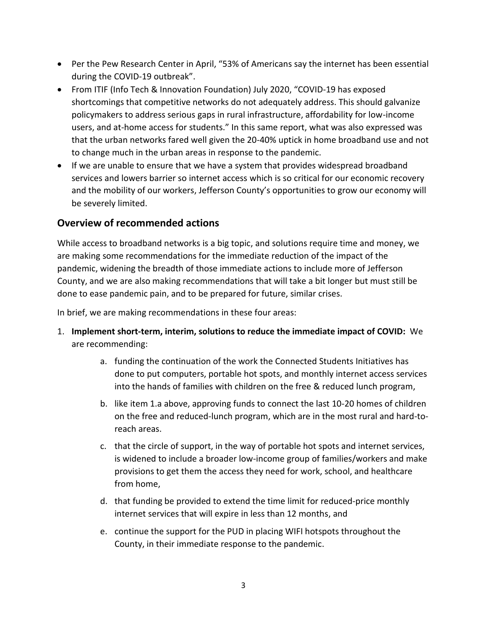- Per the Pew Research Center in April, "53% of Americans say the internet has been essential during the COVID-19 outbreak".
- From ITIF (Info Tech & Innovation Foundation) July 2020, "COVID-19 has exposed shortcomings that competitive networks do not adequately address. This should galvanize policymakers to address serious gaps in rural infrastructure, affordability for low-income users, and at-home access for students." In this same report, what was also expressed was that the urban networks fared well given the 20-40% uptick in home broadband use and not to change much in the urban areas in response to the pandemic.
- If we are unable to ensure that we have a system that provides widespread broadband services and lowers barrier so internet access which is so critical for our economic recovery and the mobility of our workers, Jefferson County's opportunities to grow our economy will be severely limited.

### **Overview of recommended actions**

While access to broadband networks is a big topic, and solutions require time and money, we are making some recommendations for the immediate reduction of the impact of the pandemic, widening the breadth of those immediate actions to include more of Jefferson County, and we are also making recommendations that will take a bit longer but must still be done to ease pandemic pain, and to be prepared for future, similar crises.

In brief, we are making recommendations in these four areas:

- 1. **Implement short-term, interim, solutions to reduce the immediate impact of COVID:** We are recommending:
	- a. funding the continuation of the work the Connected Students Initiatives has done to put computers, portable hot spots, and monthly internet access services into the hands of families with children on the free & reduced lunch program,
	- b. like item 1.a above, approving funds to connect the last 10-20 homes of children on the free and reduced-lunch program, which are in the most rural and hard-toreach areas.
	- c. that the circle of support, in the way of portable hot spots and internet services, is widened to include a broader low-income group of families/workers and make provisions to get them the access they need for work, school, and healthcare from home,
	- d. that funding be provided to extend the time limit for reduced-price monthly internet services that will expire in less than 12 months, and
	- e. continue the support for the PUD in placing WIFI hotspots throughout the County, in their immediate response to the pandemic.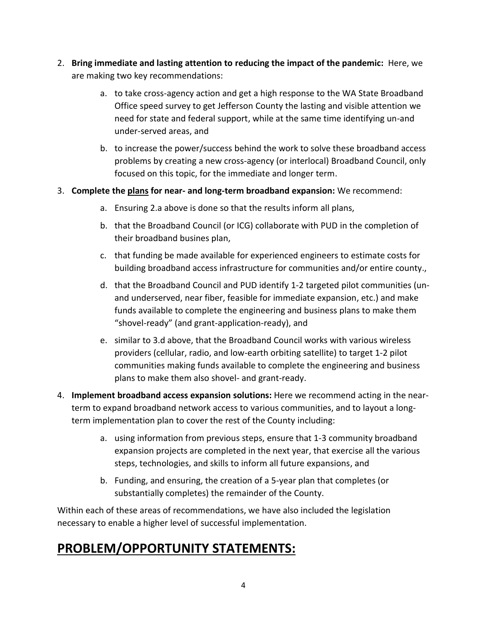- 2. **Bring immediate and lasting attention to reducing the impact of the pandemic:** Here, we are making two key recommendations:
	- a. to take cross-agency action and get a high response to the WA State Broadband Office speed survey to get Jefferson County the lasting and visible attention we need for state and federal support, while at the same time identifying un-and under-served areas, and
	- b. to increase the power/success behind the work to solve these broadband access problems by creating a new cross-agency (or interlocal) Broadband Council, only focused on this topic, for the immediate and longer term.

### 3. **Complete the plans for near- and long-term broadband expansion:** We recommend:

- a. Ensuring 2.a above is done so that the results inform all plans,
- b. that the Broadband Council (or ICG) collaborate with PUD in the completion of their broadband busines plan,
- c. that funding be made available for experienced engineers to estimate costs for building broadband access infrastructure for communities and/or entire county.,
- d. that the Broadband Council and PUD identify 1-2 targeted pilot communities (unand underserved, near fiber, feasible for immediate expansion, etc.) and make funds available to complete the engineering and business plans to make them "shovel-ready" (and grant-application-ready), and
- e. similar to 3.d above, that the Broadband Council works with various wireless providers (cellular, radio, and low-earth orbiting satellite) to target 1-2 pilot communities making funds available to complete the engineering and business plans to make them also shovel- and grant-ready.
- 4. **Implement broadband access expansion solutions:** Here we recommend acting in the nearterm to expand broadband network access to various communities, and to layout a longterm implementation plan to cover the rest of the County including:
	- a. using information from previous steps, ensure that 1-3 community broadband expansion projects are completed in the next year, that exercise all the various steps, technologies, and skills to inform all future expansions, and
	- b. Funding, and ensuring, the creation of a 5-year plan that completes (or substantially completes) the remainder of the County.

Within each of these areas of recommendations, we have also included the legislation necessary to enable a higher level of successful implementation.

# **PROBLEM/OPPORTUNITY STATEMENTS:**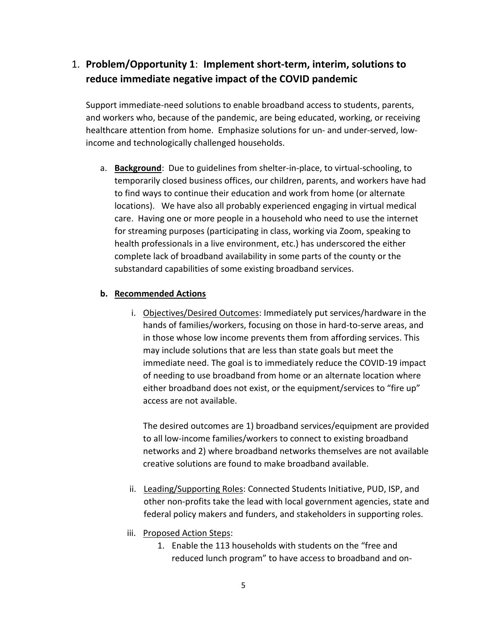## 1. **Problem/Opportunity 1**: **Implement short-term, interim, solutions to reduce immediate negative impact of the COVID pandemic**

Support immediate-need solutions to enable broadband access to students, parents, and workers who, because of the pandemic, are being educated, working, or receiving healthcare attention from home. Emphasize solutions for un- and under-served, lowincome and technologically challenged households.

a. **Background**: Due to guidelines from shelter-in-place, to virtual-schooling, to temporarily closed business offices, our children, parents, and workers have had to find ways to continue their education and work from home (or alternate locations). We have also all probably experienced engaging in virtual medical care. Having one or more people in a household who need to use the internet for streaming purposes (participating in class, working via Zoom, speaking to health professionals in a live environment, etc.) has underscored the either complete lack of broadband availability in some parts of the county or the substandard capabilities of some existing broadband services.

#### **b. Recommended Actions**

i. Objectives/Desired Outcomes: Immediately put services/hardware in the hands of families/workers, focusing on those in hard-to-serve areas, and in those whose low income prevents them from affording services. This may include solutions that are less than state goals but meet the immediate need. The goal is to immediately reduce the COVID-19 impact of needing to use broadband from home or an alternate location where either broadband does not exist, or the equipment/services to "fire up" access are not available.

The desired outcomes are 1) broadband services/equipment are provided to all low-income families/workers to connect to existing broadband networks and 2) where broadband networks themselves are not available creative solutions are found to make broadband available.

- ii. Leading/Supporting Roles: Connected Students Initiative, PUD, ISP, and other non-profits take the lead with local government agencies, state and federal policy makers and funders, and stakeholders in supporting roles.
- iii. Proposed Action Steps:
	- 1. Enable the 113 households with students on the "free and reduced lunch program" to have access to broadband and on-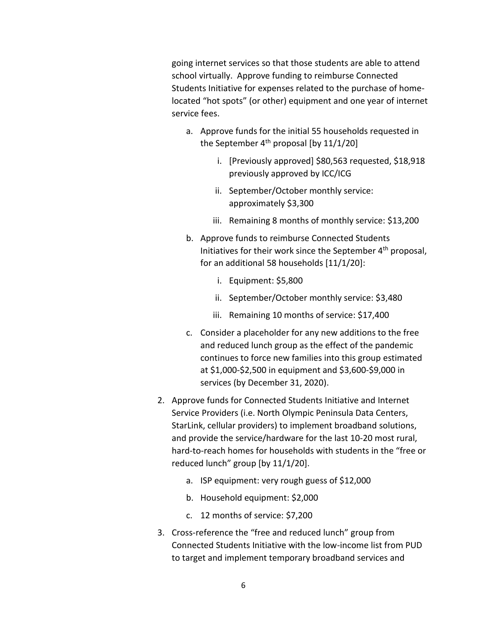going internet services so that those students are able to attend school virtually. Approve funding to reimburse Connected Students Initiative for expenses related to the purchase of homelocated "hot spots" (or other) equipment and one year of internet service fees.

- a. Approve funds for the initial 55 households requested in the September  $4<sup>th</sup>$  proposal [by 11/1/20]
	- i. [Previously approved] \$80,563 requested, \$18,918 previously approved by ICC/ICG
	- ii. September/October monthly service: approximately \$3,300
	- iii. Remaining 8 months of monthly service: \$13,200
- b. Approve funds to reimburse Connected Students Initiatives for their work since the September  $4<sup>th</sup>$  proposal, for an additional 58 households [11/1/20]:
	- i. Equipment: \$5,800
	- ii. September/October monthly service: \$3,480
	- iii. Remaining 10 months of service: \$17,400
- c. Consider a placeholder for any new additions to the free and reduced lunch group as the effect of the pandemic continues to force new families into this group estimated at \$1,000-\$2,500 in equipment and \$3,600-\$9,000 in services (by December 31, 2020).
- 2. Approve funds for Connected Students Initiative and Internet Service Providers (i.e. North Olympic Peninsula Data Centers, StarLink, cellular providers) to implement broadband solutions, and provide the service/hardware for the last 10-20 most rural, hard-to-reach homes for households with students in the "free or reduced lunch" group [by 11/1/20].
	- a. ISP equipment: very rough guess of \$12,000
	- b. Household equipment: \$2,000
	- c. 12 months of service: \$7,200
- 3. Cross-reference the "free and reduced lunch" group from Connected Students Initiative with the low-income list from PUD to target and implement temporary broadband services and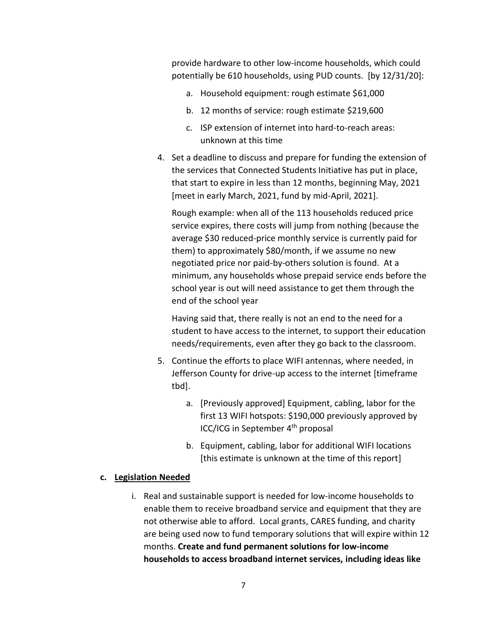provide hardware to other low-income households, which could potentially be 610 households, using PUD counts. [by 12/31/20]:

- a. Household equipment: rough estimate \$61,000
- b. 12 months of service: rough estimate \$219,600
- c. ISP extension of internet into hard-to-reach areas: unknown at this time
- 4. Set a deadline to discuss and prepare for funding the extension of the services that Connected Students Initiative has put in place, that start to expire in less than 12 months, beginning May, 2021 [meet in early March, 2021, fund by mid-April, 2021].

Rough example: when all of the 113 households reduced price service expires, there costs will jump from nothing (because the average \$30 reduced-price monthly service is currently paid for them) to approximately \$80/month, if we assume no new negotiated price nor paid-by-others solution is found. At a minimum, any households whose prepaid service ends before the school year is out will need assistance to get them through the end of the school year

Having said that, there really is not an end to the need for a student to have access to the internet, to support their education needs/requirements, even after they go back to the classroom.

- 5. Continue the efforts to place WIFI antennas, where needed, in Jefferson County for drive-up access to the internet [timeframe tbd].
	- a. [Previously approved] Equipment, cabling, labor for the first 13 WIFI hotspots: \$190,000 previously approved by ICC/ICG in September 4<sup>th</sup> proposal
	- b. Equipment, cabling, labor for additional WIFI locations [this estimate is unknown at the time of this report]

#### **c. Legislation Needed**

i. Real and sustainable support is needed for low-income households to enable them to receive broadband service and equipment that they are not otherwise able to afford. Local grants, CARES funding, and charity are being used now to fund temporary solutions that will expire within 12 months. **Create and fund permanent solutions for low-income households to access broadband internet services, including ideas like**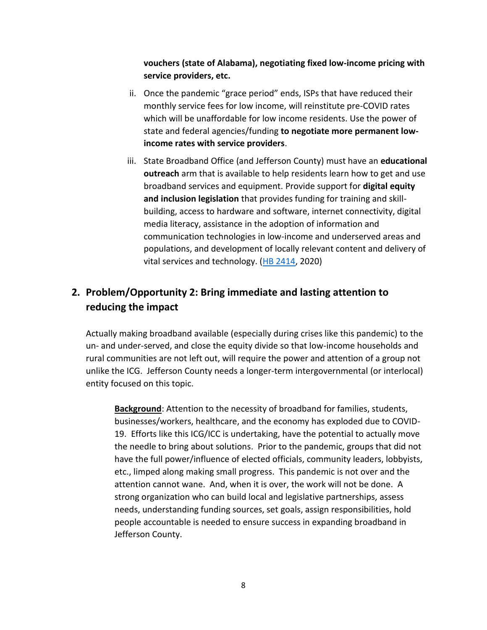**vouchers (state of Alabama), negotiating fixed low-income pricing with service providers, etc.** 

- ii. Once the pandemic "grace period" ends, ISPs that have reduced their monthly service fees for low income, will reinstitute pre-COVID rates which will be unaffordable for low income residents. Use the power of state and federal agencies/funding **to negotiate more permanent lowincome rates with service providers**.
- iii. State Broadband Office (and Jefferson County) must have an **educational outreach** arm that is available to help residents learn how to get and use broadband services and equipment. Provide support for **digital equity and inclusion legislation** that provides funding for training and skillbuilding, access to hardware and software, internet connectivity, digital media literacy, assistance in the adoption of information and communication technologies in low-income and underserved areas and populations, and development of locally relevant content and delivery of vital services and technology. [\(HB 2414,](http://lawfilesext.leg.wa.gov/biennium/2019-20/Pdf/Bills/House%20Bills/2414-S.pdf?q=20201016071144) 2020)

## **2. Problem/Opportunity 2: Bring immediate and lasting attention to reducing the impact**

Actually making broadband available (especially during crises like this pandemic) to the un- and under-served, and close the equity divide so that low-income households and rural communities are not left out, will require the power and attention of a group not unlike the ICG. Jefferson County needs a longer-term intergovernmental (or interlocal) entity focused on this topic.

**Background**: Attention to the necessity of broadband for families, students, businesses/workers, healthcare, and the economy has exploded due to COVID-19. Efforts like this ICG/ICC is undertaking, have the potential to actually move the needle to bring about solutions. Prior to the pandemic, groups that did not have the full power/influence of elected officials, community leaders, lobbyists, etc., limped along making small progress. This pandemic is not over and the attention cannot wane. And, when it is over, the work will not be done. A strong organization who can build local and legislative partnerships, assess needs, understanding funding sources, set goals, assign responsibilities, hold people accountable is needed to ensure success in expanding broadband in Jefferson County.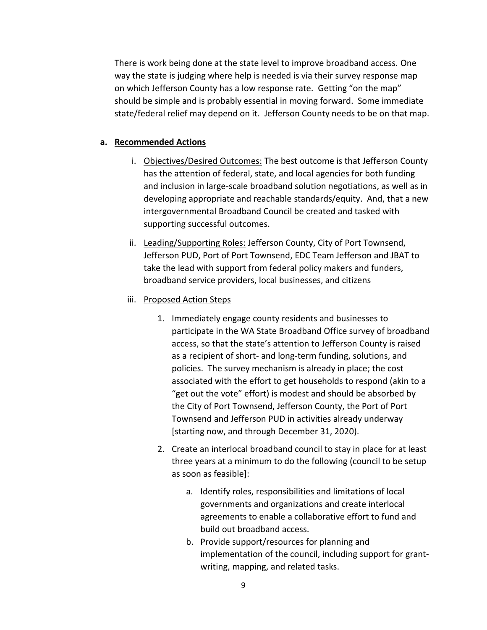There is work being done at the state level to improve broadband access. One way the state is judging where help is needed is via their survey response map on which Jefferson County has a low response rate. Getting "on the map" should be simple and is probably essential in moving forward. Some immediate state/federal relief may depend on it. Jefferson County needs to be on that map.

#### **a. Recommended Actions**

- i. Objectives/Desired Outcomes: The best outcome is that Jefferson County has the attention of federal, state, and local agencies for both funding and inclusion in large-scale broadband solution negotiations, as well as in developing appropriate and reachable standards/equity. And, that a new intergovernmental Broadband Council be created and tasked with supporting successful outcomes.
- ii. Leading/Supporting Roles: Jefferson County, City of Port Townsend, Jefferson PUD, Port of Port Townsend, EDC Team Jefferson and JBAT to take the lead with support from federal policy makers and funders, broadband service providers, local businesses, and citizens

#### iii. Proposed Action Steps

- 1. Immediately engage county residents and businesses to participate in the WA State Broadband Office survey of broadband access, so that the state's attention to Jefferson County is raised as a recipient of short- and long-term funding, solutions, and policies. The survey mechanism is already in place; the cost associated with the effort to get households to respond (akin to a "get out the vote" effort) is modest and should be absorbed by the City of Port Townsend, Jefferson County, the Port of Port Townsend and Jefferson PUD in activities already underway [starting now, and through December 31, 2020).
- 2. Create an interlocal broadband council to stay in place for at least three years at a minimum to do the following (council to be setup as soon as feasible]:
	- a. Identify roles, responsibilities and limitations of local governments and organizations and create interlocal agreements to enable a collaborative effort to fund and build out broadband access.
	- b. Provide support/resources for planning and implementation of the council, including support for grantwriting, mapping, and related tasks.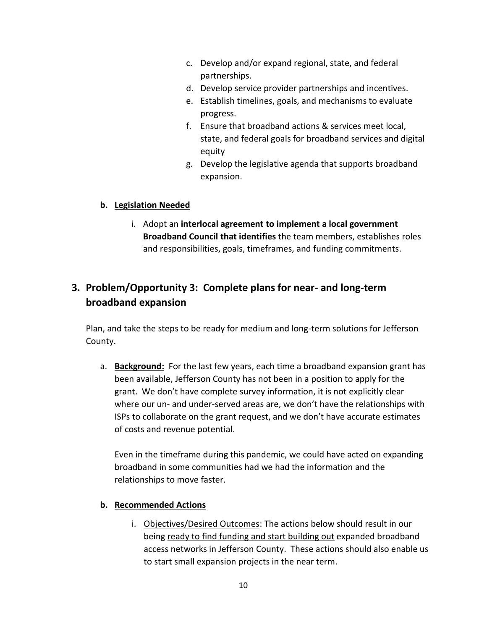- c. Develop and/or expand regional, state, and federal partnerships.
- d. Develop service provider partnerships and incentives.
- e. Establish timelines, goals, and mechanisms to evaluate progress.
- f. Ensure that broadband actions & services meet local, state, and federal goals for broadband services and digital equity
- g. Develop the legislative agenda that supports broadband expansion.

### **b. Legislation Needed**

i. Adopt an **interlocal agreement to implement a local government Broadband Council that identifies** the team members, establishes roles and responsibilities, goals, timeframes, and funding commitments.

## **3. Problem/Opportunity 3: Complete plans for near- and long-term broadband expansion**

Plan, and take the steps to be ready for medium and long-term solutions for Jefferson County.

a. **Background:** For the last few years, each time a broadband expansion grant has been available, Jefferson County has not been in a position to apply for the grant. We don't have complete survey information, it is not explicitly clear where our un- and under-served areas are, we don't have the relationships with ISPs to collaborate on the grant request, and we don't have accurate estimates of costs and revenue potential.

Even in the timeframe during this pandemic, we could have acted on expanding broadband in some communities had we had the information and the relationships to move faster.

### **b. Recommended Actions**

i. Objectives/Desired Outcomes: The actions below should result in our being ready to find funding and start building out expanded broadband access networks in Jefferson County. These actions should also enable us to start small expansion projects in the near term.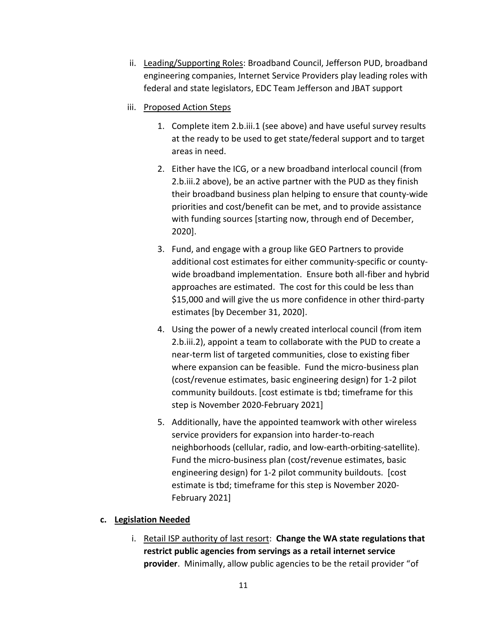- ii. Leading/Supporting Roles: Broadband Council, Jefferson PUD, broadband engineering companies, Internet Service Providers play leading roles with federal and state legislators, EDC Team Jefferson and JBAT support
- iii. Proposed Action Steps
	- 1. Complete item 2.b.iii.1 (see above) and have useful survey results at the ready to be used to get state/federal support and to target areas in need.
	- 2. Either have the ICG, or a new broadband interlocal council (from 2.b.iii.2 above), be an active partner with the PUD as they finish their broadband business plan helping to ensure that county-wide priorities and cost/benefit can be met, and to provide assistance with funding sources [starting now, through end of December, 2020].
	- 3. Fund, and engage with a group like GEO Partners to provide additional cost estimates for either community-specific or countywide broadband implementation. Ensure both all-fiber and hybrid approaches are estimated. The cost for this could be less than \$15,000 and will give the us more confidence in other third-party estimates [by December 31, 2020].
	- 4. Using the power of a newly created interlocal council (from item 2.b.iii.2), appoint a team to collaborate with the PUD to create a near-term list of targeted communities, close to existing fiber where expansion can be feasible. Fund the micro-business plan (cost/revenue estimates, basic engineering design) for 1-2 pilot community buildouts. [cost estimate is tbd; timeframe for this step is November 2020-February 2021]
	- 5. Additionally, have the appointed teamwork with other wireless service providers for expansion into harder-to-reach neighborhoods (cellular, radio, and low-earth-orbiting-satellite). Fund the micro-business plan (cost/revenue estimates, basic engineering design) for 1-2 pilot community buildouts. [cost estimate is tbd; timeframe for this step is November 2020- February 2021]

### **c. Legislation Needed**

i. Retail ISP authority of last resort: **Change the WA state regulations that restrict public agencies from servings as a retail internet service provider**. Minimally, allow public agencies to be the retail provider "of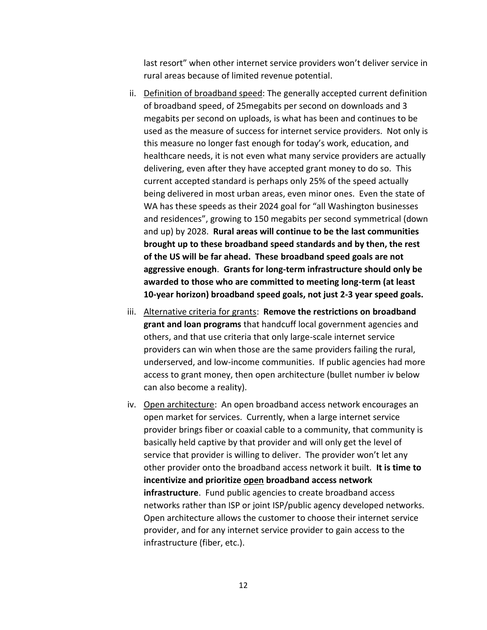last resort" when other internet service providers won't deliver service in rural areas because of limited revenue potential.

- ii. Definition of broadband speed: The generally accepted current definition of broadband speed, of 25megabits per second on downloads and 3 megabits per second on uploads, is what has been and continues to be used as the measure of success for internet service providers. Not only is this measure no longer fast enough for today's work, education, and healthcare needs, it is not even what many service providers are actually delivering, even after they have accepted grant money to do so. This current accepted standard is perhaps only 25% of the speed actually being delivered in most urban areas, even minor ones. Even the state of WA has these speeds as their 2024 goal for "all Washington businesses and residences", growing to 150 megabits per second symmetrical (down and up) by 2028. **Rural areas will continue to be the last communities brought up to these broadband speed standards and by then, the rest of the US will be far ahead. These broadband speed goals are not aggressive enough**. **Grants for long-term infrastructure should only be awarded to those who are committed to meeting long-term (at least 10-year horizon) broadband speed goals, not just 2-3 year speed goals.**
- iii. Alternative criteria for grants: **Remove the restrictions on broadband grant and loan programs** that handcuff local government agencies and others, and that use criteria that only large-scale internet service providers can win when those are the same providers failing the rural, underserved, and low-income communities. If public agencies had more access to grant money, then open architecture (bullet number iv below can also become a reality).
- iv. Open architecture: An open broadband access network encourages an open market for services. Currently, when a large internet service provider brings fiber or coaxial cable to a community, that community is basically held captive by that provider and will only get the level of service that provider is willing to deliver. The provider won't let any other provider onto the broadband access network it built. **It is time to incentivize and prioritize open broadband access network infrastructure**. Fund public agencies to create broadband access networks rather than ISP or joint ISP/public agency developed networks. Open architecture allows the customer to choose their internet service provider, and for any internet service provider to gain access to the infrastructure (fiber, etc.).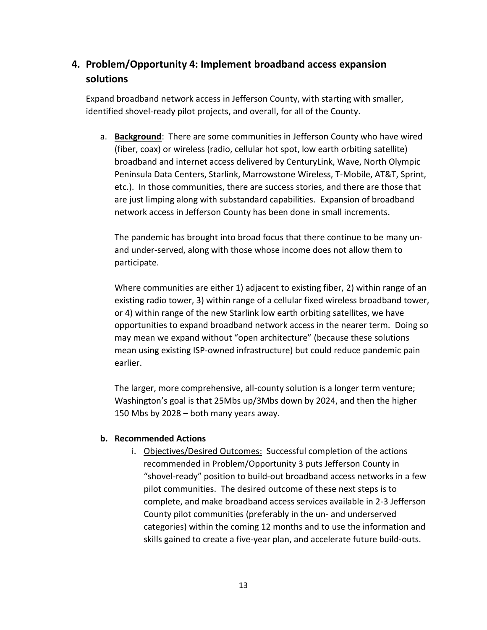## **4. Problem/Opportunity 4: Implement broadband access expansion solutions**

Expand broadband network access in Jefferson County, with starting with smaller, identified shovel-ready pilot projects, and overall, for all of the County.

a. **Background**: There are some communities in Jefferson County who have wired (fiber, coax) or wireless (radio, cellular hot spot, low earth orbiting satellite) broadband and internet access delivered by CenturyLink, Wave, North Olympic Peninsula Data Centers, Starlink, Marrowstone Wireless, T-Mobile, AT&T, Sprint, etc.). In those communities, there are success stories, and there are those that are just limping along with substandard capabilities. Expansion of broadband network access in Jefferson County has been done in small increments.

The pandemic has brought into broad focus that there continue to be many unand under-served, along with those whose income does not allow them to participate.

Where communities are either 1) adjacent to existing fiber, 2) within range of an existing radio tower, 3) within range of a cellular fixed wireless broadband tower, or 4) within range of the new Starlink low earth orbiting satellites, we have opportunities to expand broadband network access in the nearer term. Doing so may mean we expand without "open architecture" (because these solutions mean using existing ISP-owned infrastructure) but could reduce pandemic pain earlier.

The larger, more comprehensive, all-county solution is a longer term venture; Washington's goal is that 25Mbs up/3Mbs down by 2024, and then the higher 150 Mbs by 2028 – both many years away.

### **b. Recommended Actions**

i. Objectives/Desired Outcomes: Successful completion of the actions recommended in Problem/Opportunity 3 puts Jefferson County in "shovel-ready" position to build-out broadband access networks in a few pilot communities. The desired outcome of these next steps is to complete, and make broadband access services available in 2-3 Jefferson County pilot communities (preferably in the un- and underserved categories) within the coming 12 months and to use the information and skills gained to create a five-year plan, and accelerate future build-outs.